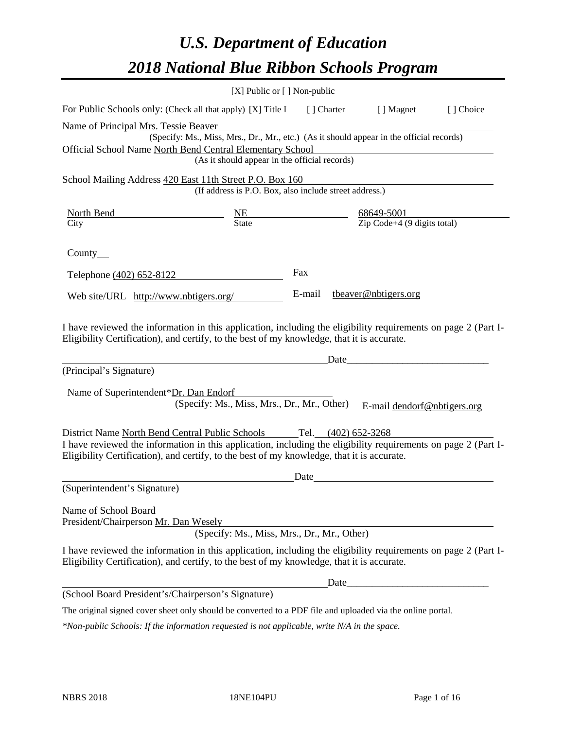# *U.S. Department of Education 2018 National Blue Ribbon Schools Program*

|                                                                                                                                                                                                              | [X] Public or [] Non-public                                                              |             |                      |                                                         |           |
|--------------------------------------------------------------------------------------------------------------------------------------------------------------------------------------------------------------|------------------------------------------------------------------------------------------|-------------|----------------------|---------------------------------------------------------|-----------|
| For Public Schools only: (Check all that apply) [X] Title I                                                                                                                                                  |                                                                                          | [ ] Charter |                      | [ ] Magnet                                              | [] Choice |
| Name of Principal Mrs. Tessie Beaver                                                                                                                                                                         |                                                                                          |             |                      |                                                         |           |
|                                                                                                                                                                                                              | (Specify: Ms., Miss, Mrs., Dr., Mr., etc.) (As it should appear in the official records) |             |                      |                                                         |           |
| Official School Name North Bend Central Elementary School                                                                                                                                                    |                                                                                          |             |                      |                                                         |           |
|                                                                                                                                                                                                              | (As it should appear in the official records)                                            |             |                      |                                                         |           |
| School Mailing Address 420 East 11th Street P.O. Box 160                                                                                                                                                     |                                                                                          |             |                      |                                                         |           |
|                                                                                                                                                                                                              | (If address is P.O. Box, also include street address.)                                   |             |                      |                                                         |           |
| North Bend                                                                                                                                                                                                   |                                                                                          |             |                      |                                                         |           |
| City                                                                                                                                                                                                         | $\frac{NE}{State}$                                                                       |             |                      | $\frac{68649-5001}{\text{Zip Code}+4 (9 digits total)}$ |           |
| County $\_\_$                                                                                                                                                                                                |                                                                                          |             |                      |                                                         |           |
| Telephone (402) 652-8122                                                                                                                                                                                     |                                                                                          | Fax         |                      |                                                         |           |
| Web site/URL http://www.nbtigers.org/                                                                                                                                                                        |                                                                                          | E-mail      |                      | tbeaver@nbtigers.org                                    |           |
| (Principal's Signature)                                                                                                                                                                                      |                                                                                          |             | Date                 |                                                         |           |
| Name of Superintendent*Dr. Dan Endorf                                                                                                                                                                        |                                                                                          |             |                      |                                                         |           |
|                                                                                                                                                                                                              | (Specify: Ms., Miss, Mrs., Dr., Mr., Other)                                              |             |                      | E-mail dendorf@nbtigers.org                             |           |
| District Name North Bend Central Public Schools                                                                                                                                                              |                                                                                          |             | Tel. (402) 652-3268  |                                                         |           |
| I have reviewed the information in this application, including the eligibility requirements on page 2 (Part I-<br>Eligibility Certification), and certify, to the best of my knowledge, that it is accurate. |                                                                                          |             |                      |                                                         |           |
|                                                                                                                                                                                                              |                                                                                          | Date        |                      |                                                         |           |
| (Superintendent's Signature)                                                                                                                                                                                 |                                                                                          |             |                      |                                                         |           |
| Name of School Board<br>President/Chairperson Mr. Dan Wesely                                                                                                                                                 | (Specify: Ms., Miss, Mrs., Dr., Mr., Other)                                              |             |                      |                                                         |           |
|                                                                                                                                                                                                              |                                                                                          |             |                      |                                                         |           |
| I have reviewed the information in this application, including the eligibility requirements on page 2 (Part I-<br>Eligibility Certification), and certify, to the best of my knowledge, that it is accurate. |                                                                                          |             |                      |                                                         |           |
|                                                                                                                                                                                                              |                                                                                          |             | Date <sub>____</sub> |                                                         |           |
| (School Board President's/Chairperson's Signature)                                                                                                                                                           |                                                                                          |             |                      |                                                         |           |
| The original signed cover sheet only should be converted to a PDF file and uploaded via the online portal.                                                                                                   |                                                                                          |             |                      |                                                         |           |

*\*Non-public Schools: If the information requested is not applicable, write N/A in the space.*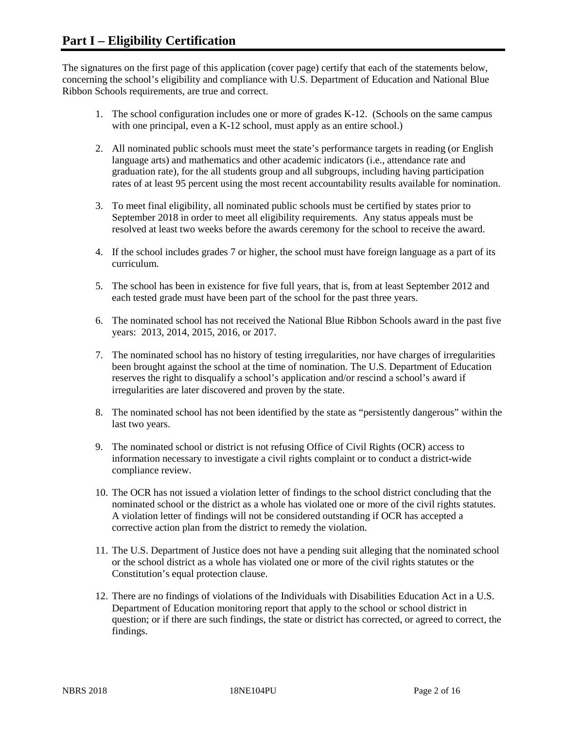The signatures on the first page of this application (cover page) certify that each of the statements below, concerning the school's eligibility and compliance with U.S. Department of Education and National Blue Ribbon Schools requirements, are true and correct.

- 1. The school configuration includes one or more of grades K-12. (Schools on the same campus with one principal, even a K-12 school, must apply as an entire school.)
- 2. All nominated public schools must meet the state's performance targets in reading (or English language arts) and mathematics and other academic indicators (i.e., attendance rate and graduation rate), for the all students group and all subgroups, including having participation rates of at least 95 percent using the most recent accountability results available for nomination.
- 3. To meet final eligibility, all nominated public schools must be certified by states prior to September 2018 in order to meet all eligibility requirements. Any status appeals must be resolved at least two weeks before the awards ceremony for the school to receive the award.
- 4. If the school includes grades 7 or higher, the school must have foreign language as a part of its curriculum.
- 5. The school has been in existence for five full years, that is, from at least September 2012 and each tested grade must have been part of the school for the past three years.
- 6. The nominated school has not received the National Blue Ribbon Schools award in the past five years: 2013, 2014, 2015, 2016, or 2017.
- 7. The nominated school has no history of testing irregularities, nor have charges of irregularities been brought against the school at the time of nomination. The U.S. Department of Education reserves the right to disqualify a school's application and/or rescind a school's award if irregularities are later discovered and proven by the state.
- 8. The nominated school has not been identified by the state as "persistently dangerous" within the last two years.
- 9. The nominated school or district is not refusing Office of Civil Rights (OCR) access to information necessary to investigate a civil rights complaint or to conduct a district-wide compliance review.
- 10. The OCR has not issued a violation letter of findings to the school district concluding that the nominated school or the district as a whole has violated one or more of the civil rights statutes. A violation letter of findings will not be considered outstanding if OCR has accepted a corrective action plan from the district to remedy the violation.
- 11. The U.S. Department of Justice does not have a pending suit alleging that the nominated school or the school district as a whole has violated one or more of the civil rights statutes or the Constitution's equal protection clause.
- 12. There are no findings of violations of the Individuals with Disabilities Education Act in a U.S. Department of Education monitoring report that apply to the school or school district in question; or if there are such findings, the state or district has corrected, or agreed to correct, the findings.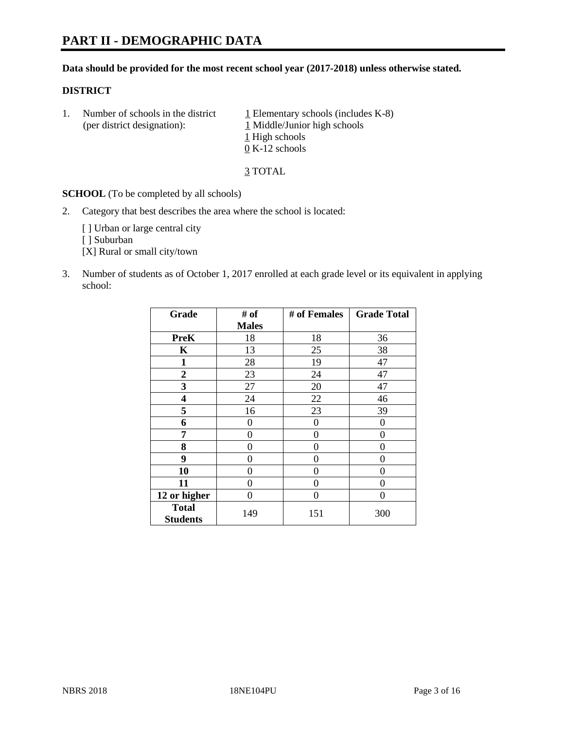# **PART II - DEMOGRAPHIC DATA**

#### **Data should be provided for the most recent school year (2017-2018) unless otherwise stated.**

#### **DISTRICT**

1. Number of schools in the district  $1$  Elementary schools (includes K-8) (per district designation): 1 Middle/Junior high schools 1 High schools 0 K-12 schools

3 TOTAL

**SCHOOL** (To be completed by all schools)

2. Category that best describes the area where the school is located:

[] Urban or large central city

[ ] Suburban

[X] Rural or small city/town

3. Number of students as of October 1, 2017 enrolled at each grade level or its equivalent in applying school:

| Grade                           | # of         | # of Females | <b>Grade Total</b> |
|---------------------------------|--------------|--------------|--------------------|
|                                 | <b>Males</b> |              |                    |
| <b>PreK</b>                     | 18           | 18           | 36                 |
| $\mathbf K$                     | 13           | 25           | 38                 |
| $\mathbf{1}$                    | 28           | 19           | 47                 |
| 2                               | 23           | 24           | 47                 |
| 3                               | 27           | 20           | 47                 |
| 4                               | 24           | 22           | 46                 |
| 5                               | 16           | 23           | 39                 |
| 6                               | 0            | 0            | $\Omega$           |
| 7                               | 0            | 0            | 0                  |
| 8                               | 0            | 0            | 0                  |
| 9                               | 0            | 0            | 0                  |
| 10                              | 0            | 0            | 0                  |
| 11                              | 0            | 0            | 0                  |
| 12 or higher                    | 0            | 0            | 0                  |
| <b>Total</b><br><b>Students</b> | 149          | 151          | 300                |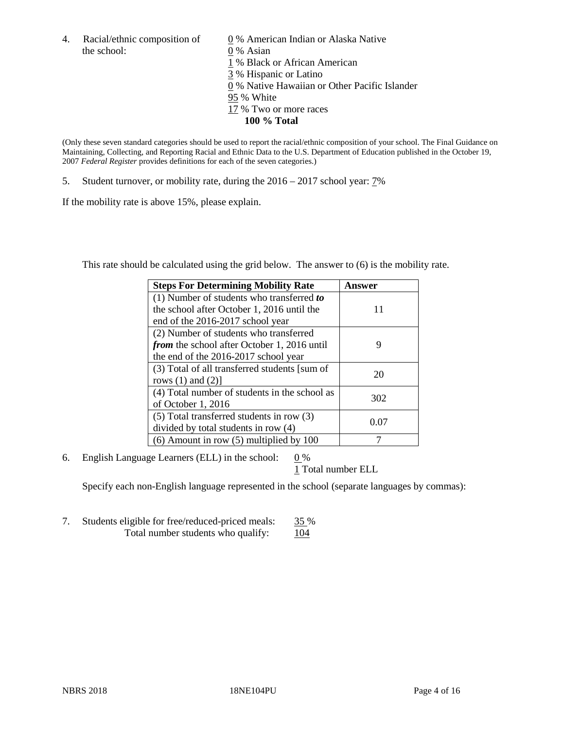4. Racial/ethnic composition of  $\qquad 0\%$  American Indian or Alaska Native the school: 0 % Asian

 % Black or African American % Hispanic or Latino % Native Hawaiian or Other Pacific Islander 95 % White % Two or more races **100 % Total**

(Only these seven standard categories should be used to report the racial/ethnic composition of your school. The Final Guidance on Maintaining, Collecting, and Reporting Racial and Ethnic Data to the U.S. Department of Education published in the October 19, 2007 *Federal Register* provides definitions for each of the seven categories.)

5. Student turnover, or mobility rate, during the 2016 – 2017 school year: 7%

If the mobility rate is above 15%, please explain.

This rate should be calculated using the grid below. The answer to (6) is the mobility rate.

| <b>Steps For Determining Mobility Rate</b>         | Answer |
|----------------------------------------------------|--------|
| $(1)$ Number of students who transferred to        |        |
| the school after October 1, 2016 until the         | 11     |
| end of the 2016-2017 school year                   |        |
| (2) Number of students who transferred             |        |
| <i>from</i> the school after October 1, 2016 until | 9      |
| the end of the 2016-2017 school year               |        |
| (3) Total of all transferred students [sum of      | 20     |
| rows $(1)$ and $(2)$ ]                             |        |
| (4) Total number of students in the school as      |        |
| of October 1, 2016                                 | 302    |
| (5) Total transferred students in row (3)          |        |
| divided by total students in row (4)               | 0.07   |
| $(6)$ Amount in row $(5)$ multiplied by 100        |        |

6. English Language Learners (ELL) in the school:  $0\%$ 

1 Total number ELL

Specify each non-English language represented in the school (separate languages by commas):

7. Students eligible for free/reduced-priced meals: 35 % Total number students who qualify:  $104$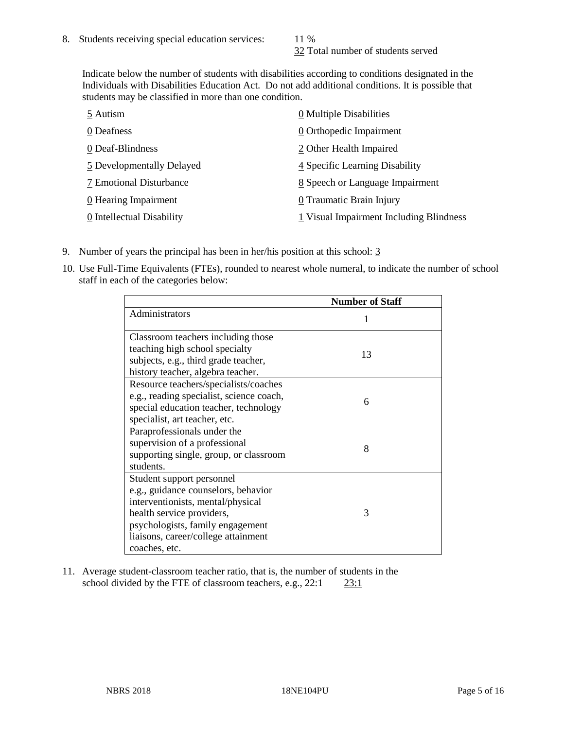32 Total number of students served

Indicate below the number of students with disabilities according to conditions designated in the Individuals with Disabilities Education Act. Do not add additional conditions. It is possible that students may be classified in more than one condition.

| 5 Autism                  | 0 Multiple Disabilities                 |
|---------------------------|-----------------------------------------|
| 0 Deafness                | 0 Orthopedic Impairment                 |
| 0 Deaf-Blindness          | 2 Other Health Impaired                 |
| 5 Developmentally Delayed | 4 Specific Learning Disability          |
| 7 Emotional Disturbance   | 8 Speech or Language Impairment         |
| 0 Hearing Impairment      | 0 Traumatic Brain Injury                |
| 0 Intellectual Disability | 1 Visual Impairment Including Blindness |

- 9. Number of years the principal has been in her/his position at this school: 3
- 10. Use Full-Time Equivalents (FTEs), rounded to nearest whole numeral, to indicate the number of school staff in each of the categories below:

|                                                                                                                                                                                                                                | <b>Number of Staff</b> |
|--------------------------------------------------------------------------------------------------------------------------------------------------------------------------------------------------------------------------------|------------------------|
| Administrators                                                                                                                                                                                                                 |                        |
| Classroom teachers including those<br>teaching high school specialty<br>subjects, e.g., third grade teacher,<br>history teacher, algebra teacher.                                                                              | 13                     |
| Resource teachers/specialists/coaches<br>e.g., reading specialist, science coach,<br>special education teacher, technology<br>specialist, art teacher, etc.                                                                    | 6                      |
| Paraprofessionals under the<br>supervision of a professional<br>supporting single, group, or classroom<br>students.                                                                                                            | 8                      |
| Student support personnel<br>e.g., guidance counselors, behavior<br>interventionists, mental/physical<br>health service providers,<br>psychologists, family engagement<br>liaisons, career/college attainment<br>coaches, etc. | 3                      |

11. Average student-classroom teacher ratio, that is, the number of students in the school divided by the FTE of classroom teachers, e.g., 22:1 23:1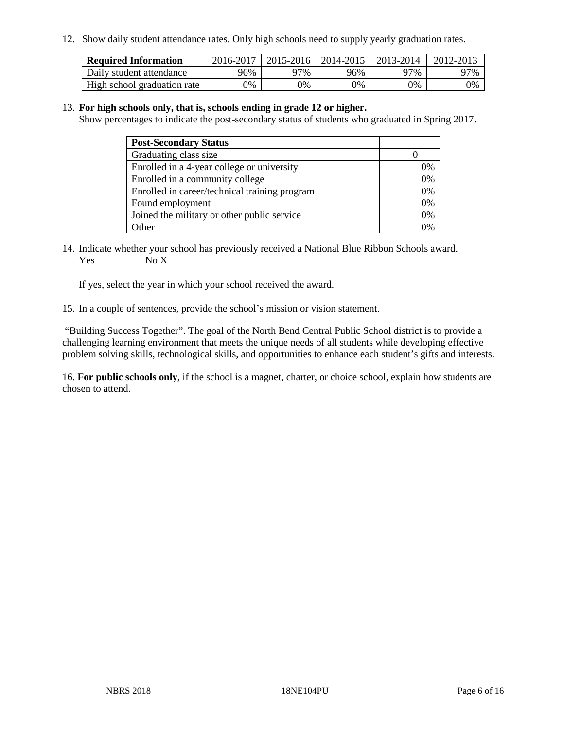12. Show daily student attendance rates. Only high schools need to supply yearly graduation rates.

| <b>Required Information</b> | 2016-2017 | $2015 - 2016$ | 2014-2015 | 2013-2014 | 2012-2013 |
|-----------------------------|-----------|---------------|-----------|-----------|-----------|
| Daily student attendance    | 96%       | 97%           | 96%       | 97%       | 97%       |
| High school graduation rate | 0%        | 0%            | 0%        | 9%        | 0%        |

#### 13. **For high schools only, that is, schools ending in grade 12 or higher.**

Show percentages to indicate the post-secondary status of students who graduated in Spring 2017.

| <b>Post-Secondary Status</b>                  |              |
|-----------------------------------------------|--------------|
| Graduating class size                         |              |
| Enrolled in a 4-year college or university    | 0%           |
| Enrolled in a community college               | 0%           |
| Enrolled in career/technical training program | 0%           |
| Found employment                              | 0%           |
| Joined the military or other public service   | 0%           |
| Other                                         | $\gamma_{0}$ |

14. Indicate whether your school has previously received a National Blue Ribbon Schools award. Yes No X

If yes, select the year in which your school received the award.

15. In a couple of sentences, provide the school's mission or vision statement.

"Building Success Together". The goal of the North Bend Central Public School district is to provide a challenging learning environment that meets the unique needs of all students while developing effective problem solving skills, technological skills, and opportunities to enhance each student's gifts and interests.

16. **For public schools only**, if the school is a magnet, charter, or choice school, explain how students are chosen to attend.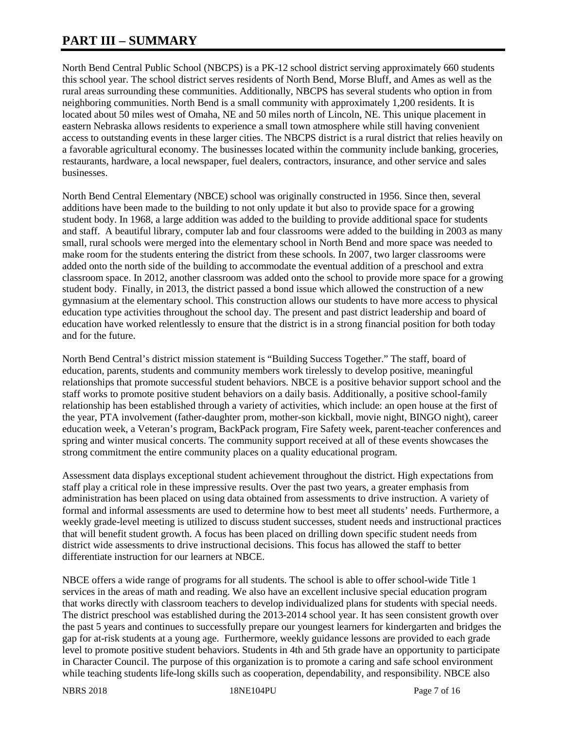# **PART III – SUMMARY**

North Bend Central Public School (NBCPS) is a PK-12 school district serving approximately 660 students this school year. The school district serves residents of North Bend, Morse Bluff, and Ames as well as the rural areas surrounding these communities. Additionally, NBCPS has several students who option in from neighboring communities. North Bend is a small community with approximately 1,200 residents. It is located about 50 miles west of Omaha, NE and 50 miles north of Lincoln, NE. This unique placement in eastern Nebraska allows residents to experience a small town atmosphere while still having convenient access to outstanding events in these larger cities. The NBCPS district is a rural district that relies heavily on a favorable agricultural economy. The businesses located within the community include banking, groceries, restaurants, hardware, a local newspaper, fuel dealers, contractors, insurance, and other service and sales businesses.

North Bend Central Elementary (NBCE) school was originally constructed in 1956. Since then, several additions have been made to the building to not only update it but also to provide space for a growing student body. In 1968, a large addition was added to the building to provide additional space for students and staff. A beautiful library, computer lab and four classrooms were added to the building in 2003 as many small, rural schools were merged into the elementary school in North Bend and more space was needed to make room for the students entering the district from these schools. In 2007, two larger classrooms were added onto the north side of the building to accommodate the eventual addition of a preschool and extra classroom space. In 2012, another classroom was added onto the school to provide more space for a growing student body. Finally, in 2013, the district passed a bond issue which allowed the construction of a new gymnasium at the elementary school. This construction allows our students to have more access to physical education type activities throughout the school day. The present and past district leadership and board of education have worked relentlessly to ensure that the district is in a strong financial position for both today and for the future.

North Bend Central's district mission statement is "Building Success Together." The staff, board of education, parents, students and community members work tirelessly to develop positive, meaningful relationships that promote successful student behaviors. NBCE is a positive behavior support school and the staff works to promote positive student behaviors on a daily basis. Additionally, a positive school-family relationship has been established through a variety of activities, which include: an open house at the first of the year, PTA involvement (father-daughter prom, mother-son kickball, movie night, BINGO night), career education week, a Veteran's program, BackPack program, Fire Safety week, parent-teacher conferences and spring and winter musical concerts. The community support received at all of these events showcases the strong commitment the entire community places on a quality educational program.

Assessment data displays exceptional student achievement throughout the district. High expectations from staff play a critical role in these impressive results. Over the past two years, a greater emphasis from administration has been placed on using data obtained from assessments to drive instruction. A variety of formal and informal assessments are used to determine how to best meet all students' needs. Furthermore, a weekly grade-level meeting is utilized to discuss student successes, student needs and instructional practices that will benefit student growth. A focus has been placed on drilling down specific student needs from district wide assessments to drive instructional decisions. This focus has allowed the staff to better differentiate instruction for our learners at NBCE.

NBCE offers a wide range of programs for all students. The school is able to offer school-wide Title 1 services in the areas of math and reading. We also have an excellent inclusive special education program that works directly with classroom teachers to develop individualized plans for students with special needs. The district preschool was established during the 2013-2014 school year. It has seen consistent growth over the past 5 years and continues to successfully prepare our youngest learners for kindergarten and bridges the gap for at-risk students at a young age. Furthermore, weekly guidance lessons are provided to each grade level to promote positive student behaviors. Students in 4th and 5th grade have an opportunity to participate in Character Council. The purpose of this organization is to promote a caring and safe school environment while teaching students life-long skills such as cooperation, dependability, and responsibility. NBCE also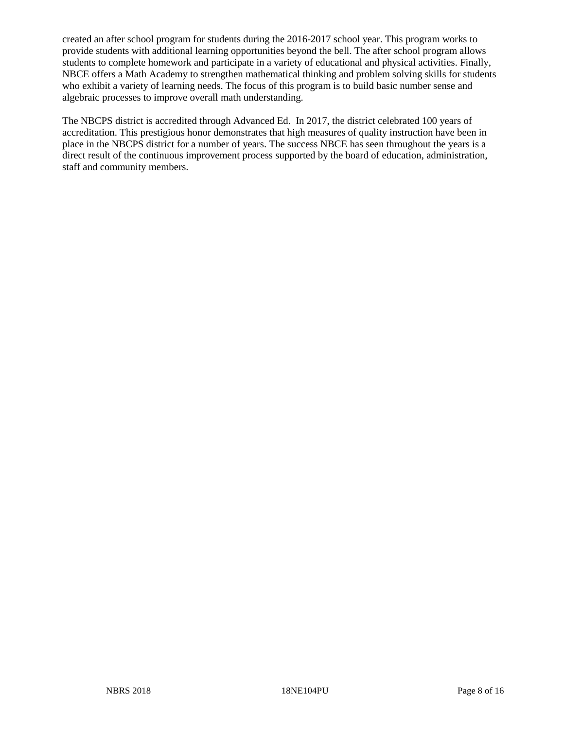created an after school program for students during the 2016-2017 school year. This program works to provide students with additional learning opportunities beyond the bell. The after school program allows students to complete homework and participate in a variety of educational and physical activities. Finally, NBCE offers a Math Academy to strengthen mathematical thinking and problem solving skills for students who exhibit a variety of learning needs. The focus of this program is to build basic number sense and algebraic processes to improve overall math understanding.

The NBCPS district is accredited through Advanced Ed. In 2017, the district celebrated 100 years of accreditation. This prestigious honor demonstrates that high measures of quality instruction have been in place in the NBCPS district for a number of years. The success NBCE has seen throughout the years is a direct result of the continuous improvement process supported by the board of education, administration, staff and community members.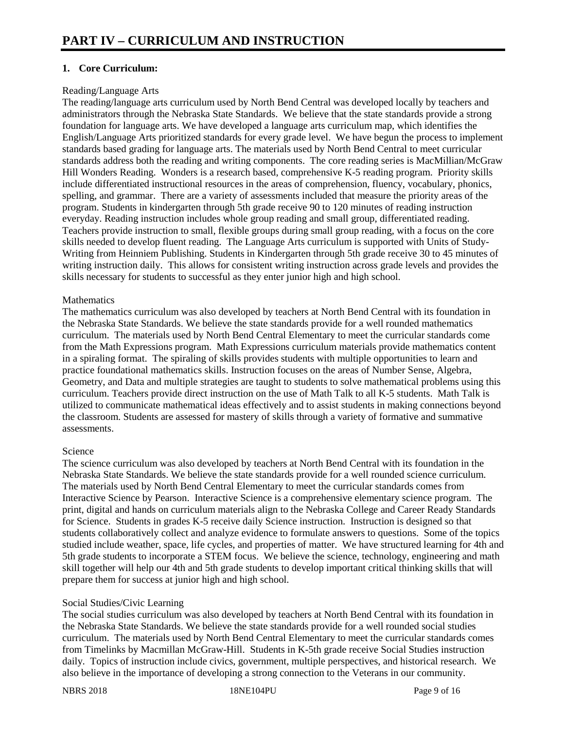# **1. Core Curriculum:**

#### Reading/Language Arts

The reading/language arts curriculum used by North Bend Central was developed locally by teachers and administrators through the Nebraska State Standards. We believe that the state standards provide a strong foundation for language arts. We have developed a language arts curriculum map, which identifies the English/Language Arts prioritized standards for every grade level. We have begun the process to implement standards based grading for language arts. The materials used by North Bend Central to meet curricular standards address both the reading and writing components. The core reading series is MacMillian/McGraw Hill Wonders Reading. Wonders is a research based, comprehensive K-5 reading program. Priority skills include differentiated instructional resources in the areas of comprehension, fluency, vocabulary, phonics, spelling, and grammar. There are a variety of assessments included that measure the priority areas of the program. Students in kindergarten through 5th grade receive 90 to 120 minutes of reading instruction everyday. Reading instruction includes whole group reading and small group, differentiated reading. Teachers provide instruction to small, flexible groups during small group reading, with a focus on the core skills needed to develop fluent reading. The Language Arts curriculum is supported with Units of Study-Writing from Heinniem Publishing. Students in Kindergarten through 5th grade receive 30 to 45 minutes of writing instruction daily. This allows for consistent writing instruction across grade levels and provides the skills necessary for students to successful as they enter junior high and high school.

#### **Mathematics**

The mathematics curriculum was also developed by teachers at North Bend Central with its foundation in the Nebraska State Standards. We believe the state standards provide for a well rounded mathematics curriculum. The materials used by North Bend Central Elementary to meet the curricular standards come from the Math Expressions program. Math Expressions curriculum materials provide mathematics content in a spiraling format. The spiraling of skills provides students with multiple opportunities to learn and practice foundational mathematics skills. Instruction focuses on the areas of Number Sense, Algebra, Geometry, and Data and multiple strategies are taught to students to solve mathematical problems using this curriculum. Teachers provide direct instruction on the use of Math Talk to all K-5 students. Math Talk is utilized to communicate mathematical ideas effectively and to assist students in making connections beyond the classroom. Students are assessed for mastery of skills through a variety of formative and summative assessments.

#### Science

The science curriculum was also developed by teachers at North Bend Central with its foundation in the Nebraska State Standards. We believe the state standards provide for a well rounded science curriculum. The materials used by North Bend Central Elementary to meet the curricular standards comes from Interactive Science by Pearson. Interactive Science is a comprehensive elementary science program. The print, digital and hands on curriculum materials align to the Nebraska College and Career Ready Standards for Science. Students in grades K-5 receive daily Science instruction. Instruction is designed so that students collaboratively collect and analyze evidence to formulate answers to questions. Some of the topics studied include weather, space, life cycles, and properties of matter. We have structured learning for 4th and 5th grade students to incorporate a STEM focus. We believe the science, technology, engineering and math skill together will help our 4th and 5th grade students to develop important critical thinking skills that will prepare them for success at junior high and high school.

#### Social Studies/Civic Learning

The social studies curriculum was also developed by teachers at North Bend Central with its foundation in the Nebraska State Standards. We believe the state standards provide for a well rounded social studies curriculum. The materials used by North Bend Central Elementary to meet the curricular standards comes from Timelinks by Macmillan McGraw-Hill. Students in K-5th grade receive Social Studies instruction daily. Topics of instruction include civics, government, multiple perspectives, and historical research. We also believe in the importance of developing a strong connection to the Veterans in our community.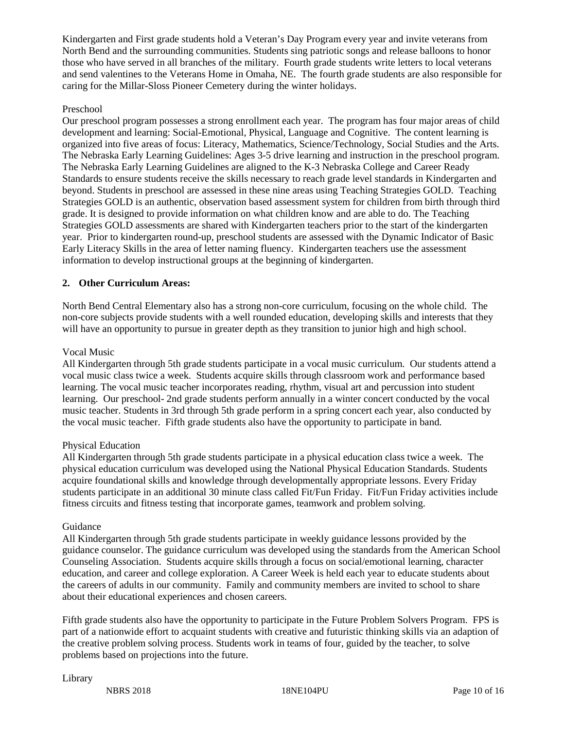Kindergarten and First grade students hold a Veteran's Day Program every year and invite veterans from North Bend and the surrounding communities. Students sing patriotic songs and release balloons to honor those who have served in all branches of the military. Fourth grade students write letters to local veterans and send valentines to the Veterans Home in Omaha, NE. The fourth grade students are also responsible for caring for the Millar-Sloss Pioneer Cemetery during the winter holidays.

# Preschool

Our preschool program possesses a strong enrollment each year. The program has four major areas of child development and learning: Social-Emotional, Physical, Language and Cognitive. The content learning is organized into five areas of focus: Literacy, Mathematics, Science/Technology, Social Studies and the Arts. The Nebraska Early Learning Guidelines: Ages 3-5 drive learning and instruction in the preschool program. The Nebraska Early Learning Guidelines are aligned to the K-3 Nebraska College and Career Ready Standards to ensure students receive the skills necessary to reach grade level standards in Kindergarten and beyond. Students in preschool are assessed in these nine areas using Teaching Strategies GOLD. Teaching Strategies GOLD is an authentic, observation based assessment system for children from birth through third grade. It is designed to provide information on what children know and are able to do. The Teaching Strategies GOLD assessments are shared with Kindergarten teachers prior to the start of the kindergarten year. Prior to kindergarten round-up, preschool students are assessed with the Dynamic Indicator of Basic Early Literacy Skills in the area of letter naming fluency. Kindergarten teachers use the assessment information to develop instructional groups at the beginning of kindergarten.

# **2. Other Curriculum Areas:**

North Bend Central Elementary also has a strong non-core curriculum, focusing on the whole child. The non-core subjects provide students with a well rounded education, developing skills and interests that they will have an opportunity to pursue in greater depth as they transition to junior high and high school.

#### Vocal Music

All Kindergarten through 5th grade students participate in a vocal music curriculum. Our students attend a vocal music class twice a week. Students acquire skills through classroom work and performance based learning. The vocal music teacher incorporates reading, rhythm, visual art and percussion into student learning. Our preschool- 2nd grade students perform annually in a winter concert conducted by the vocal music teacher. Students in 3rd through 5th grade perform in a spring concert each year, also conducted by the vocal music teacher. Fifth grade students also have the opportunity to participate in band.

#### Physical Education

All Kindergarten through 5th grade students participate in a physical education class twice a week. The physical education curriculum was developed using the National Physical Education Standards. Students acquire foundational skills and knowledge through developmentally appropriate lessons. Every Friday students participate in an additional 30 minute class called Fit/Fun Friday. Fit/Fun Friday activities include fitness circuits and fitness testing that incorporate games, teamwork and problem solving.

#### Guidance

All Kindergarten through 5th grade students participate in weekly guidance lessons provided by the guidance counselor. The guidance curriculum was developed using the standards from the American School Counseling Association. Students acquire skills through a focus on social/emotional learning, character education, and career and college exploration. A Career Week is held each year to educate students about the careers of adults in our community. Family and community members are invited to school to share about their educational experiences and chosen careers.

Fifth grade students also have the opportunity to participate in the Future Problem Solvers Program. FPS is part of a nationwide effort to acquaint students with creative and futuristic thinking skills via an adaption of the creative problem solving process. Students work in teams of four, guided by the teacher, to solve problems based on projections into the future.

#### Library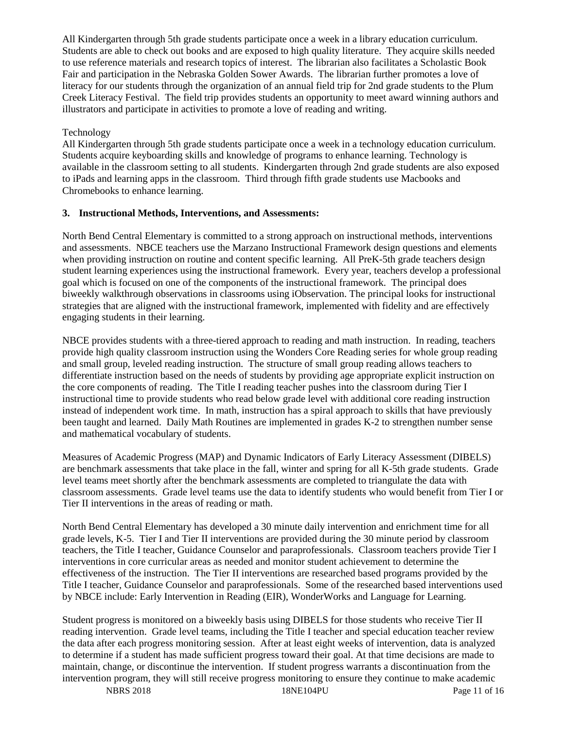All Kindergarten through 5th grade students participate once a week in a library education curriculum. Students are able to check out books and are exposed to high quality literature. They acquire skills needed to use reference materials and research topics of interest. The librarian also facilitates a Scholastic Book Fair and participation in the Nebraska Golden Sower Awards. The librarian further promotes a love of literacy for our students through the organization of an annual field trip for 2nd grade students to the Plum Creek Literacy Festival. The field trip provides students an opportunity to meet award winning authors and illustrators and participate in activities to promote a love of reading and writing.

### Technology

All Kindergarten through 5th grade students participate once a week in a technology education curriculum. Students acquire keyboarding skills and knowledge of programs to enhance learning. Technology is available in the classroom setting to all students. Kindergarten through 2nd grade students are also exposed to iPads and learning apps in the classroom. Third through fifth grade students use Macbooks and Chromebooks to enhance learning.

# **3. Instructional Methods, Interventions, and Assessments:**

North Bend Central Elementary is committed to a strong approach on instructional methods, interventions and assessments. NBCE teachers use the Marzano Instructional Framework design questions and elements when providing instruction on routine and content specific learning. All PreK-5th grade teachers design student learning experiences using the instructional framework. Every year, teachers develop a professional goal which is focused on one of the components of the instructional framework. The principal does biweekly walkthrough observations in classrooms using iObservation. The principal looks for instructional strategies that are aligned with the instructional framework, implemented with fidelity and are effectively engaging students in their learning.

NBCE provides students with a three-tiered approach to reading and math instruction. In reading, teachers provide high quality classroom instruction using the Wonders Core Reading series for whole group reading and small group, leveled reading instruction. The structure of small group reading allows teachers to differentiate instruction based on the needs of students by providing age appropriate explicit instruction on the core components of reading. The Title I reading teacher pushes into the classroom during Tier I instructional time to provide students who read below grade level with additional core reading instruction instead of independent work time. In math, instruction has a spiral approach to skills that have previously been taught and learned. Daily Math Routines are implemented in grades K-2 to strengthen number sense and mathematical vocabulary of students.

Measures of Academic Progress (MAP) and Dynamic Indicators of Early Literacy Assessment (DIBELS) are benchmark assessments that take place in the fall, winter and spring for all K-5th grade students. Grade level teams meet shortly after the benchmark assessments are completed to triangulate the data with classroom assessments. Grade level teams use the data to identify students who would benefit from Tier I or Tier II interventions in the areas of reading or math.

North Bend Central Elementary has developed a 30 minute daily intervention and enrichment time for all grade levels, K-5. Tier I and Tier II interventions are provided during the 30 minute period by classroom teachers, the Title I teacher, Guidance Counselor and paraprofessionals. Classroom teachers provide Tier I interventions in core curricular areas as needed and monitor student achievement to determine the effectiveness of the instruction. The Tier II interventions are researched based programs provided by the Title I teacher, Guidance Counselor and paraprofessionals. Some of the researched based interventions used by NBCE include: Early Intervention in Reading (EIR), WonderWorks and Language for Learning.

Student progress is monitored on a biweekly basis using DIBELS for those students who receive Tier II reading intervention. Grade level teams, including the Title I teacher and special education teacher review the data after each progress monitoring session. After at least eight weeks of intervention, data is analyzed to determine if a student has made sufficient progress toward their goal. At that time decisions are made to maintain, change, or discontinue the intervention. If student progress warrants a discontinuation from the intervention program, they will still receive progress monitoring to ensure they continue to make academic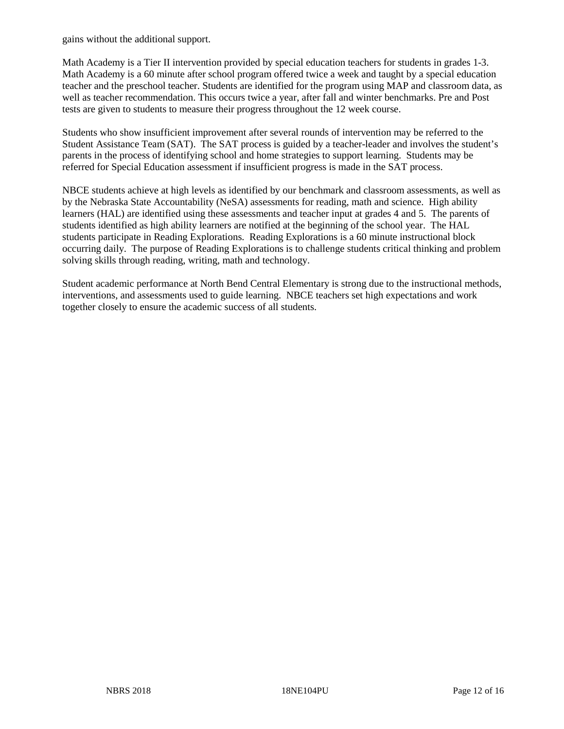gains without the additional support.

Math Academy is a Tier II intervention provided by special education teachers for students in grades 1-3. Math Academy is a 60 minute after school program offered twice a week and taught by a special education teacher and the preschool teacher. Students are identified for the program using MAP and classroom data, as well as teacher recommendation. This occurs twice a year, after fall and winter benchmarks. Pre and Post tests are given to students to measure their progress throughout the 12 week course.

Students who show insufficient improvement after several rounds of intervention may be referred to the Student Assistance Team (SAT). The SAT process is guided by a teacher-leader and involves the student's parents in the process of identifying school and home strategies to support learning. Students may be referred for Special Education assessment if insufficient progress is made in the SAT process.

NBCE students achieve at high levels as identified by our benchmark and classroom assessments, as well as by the Nebraska State Accountability (NeSA) assessments for reading, math and science. High ability learners (HAL) are identified using these assessments and teacher input at grades 4 and 5. The parents of students identified as high ability learners are notified at the beginning of the school year. The HAL students participate in Reading Explorations. Reading Explorations is a 60 minute instructional block occurring daily. The purpose of Reading Explorations is to challenge students critical thinking and problem solving skills through reading, writing, math and technology.

Student academic performance at North Bend Central Elementary is strong due to the instructional methods, interventions, and assessments used to guide learning. NBCE teachers set high expectations and work together closely to ensure the academic success of all students.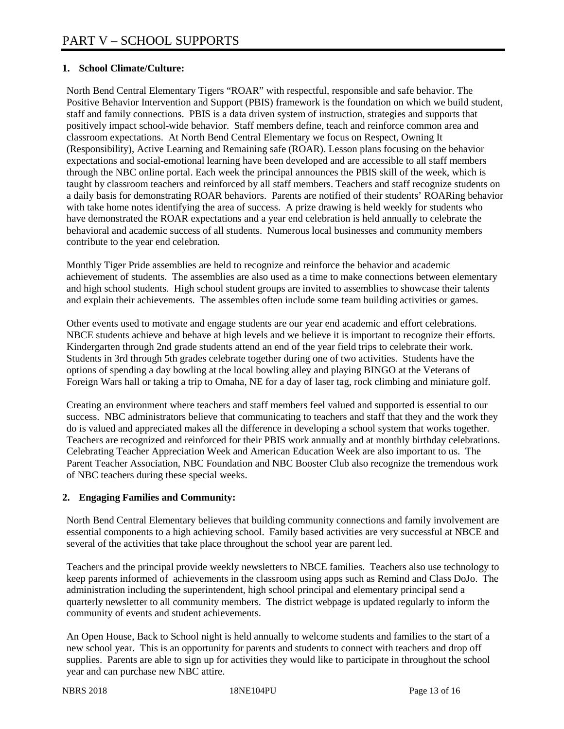# **1. School Climate/Culture:**

North Bend Central Elementary Tigers "ROAR" with respectful, responsible and safe behavior. The Positive Behavior Intervention and Support (PBIS) framework is the foundation on which we build student, staff and family connections. PBIS is a data driven system of instruction, strategies and supports that positively impact school-wide behavior. Staff members define, teach and reinforce common area and classroom expectations. At North Bend Central Elementary we focus on Respect, Owning It (Responsibility), Active Learning and Remaining safe (ROAR). Lesson plans focusing on the behavior expectations and social-emotional learning have been developed and are accessible to all staff members through the NBC online portal. Each week the principal announces the PBIS skill of the week, which is taught by classroom teachers and reinforced by all staff members. Teachers and staff recognize students on a daily basis for demonstrating ROAR behaviors. Parents are notified of their students' ROARing behavior with take home notes identifying the area of success. A prize drawing is held weekly for students who have demonstrated the ROAR expectations and a year end celebration is held annually to celebrate the behavioral and academic success of all students. Numerous local businesses and community members contribute to the year end celebration.

Monthly Tiger Pride assemblies are held to recognize and reinforce the behavior and academic achievement of students. The assemblies are also used as a time to make connections between elementary and high school students. High school student groups are invited to assemblies to showcase their talents and explain their achievements. The assembles often include some team building activities or games.

Other events used to motivate and engage students are our year end academic and effort celebrations. NBCE students achieve and behave at high levels and we believe it is important to recognize their efforts. Kindergarten through 2nd grade students attend an end of the year field trips to celebrate their work. Students in 3rd through 5th grades celebrate together during one of two activities. Students have the options of spending a day bowling at the local bowling alley and playing BINGO at the Veterans of Foreign Wars hall or taking a trip to Omaha, NE for a day of laser tag, rock climbing and miniature golf.

Creating an environment where teachers and staff members feel valued and supported is essential to our success. NBC administrators believe that communicating to teachers and staff that they and the work they do is valued and appreciated makes all the difference in developing a school system that works together. Teachers are recognized and reinforced for their PBIS work annually and at monthly birthday celebrations. Celebrating Teacher Appreciation Week and American Education Week are also important to us. The Parent Teacher Association, NBC Foundation and NBC Booster Club also recognize the tremendous work of NBC teachers during these special weeks.

#### **2. Engaging Families and Community:**

North Bend Central Elementary believes that building community connections and family involvement are essential components to a high achieving school. Family based activities are very successful at NBCE and several of the activities that take place throughout the school year are parent led.

Teachers and the principal provide weekly newsletters to NBCE families. Teachers also use technology to keep parents informed of achievements in the classroom using apps such as Remind and Class DoJo. The administration including the superintendent, high school principal and elementary principal send a quarterly newsletter to all community members. The district webpage is updated regularly to inform the community of events and student achievements.

An Open House, Back to School night is held annually to welcome students and families to the start of a new school year. This is an opportunity for parents and students to connect with teachers and drop off supplies. Parents are able to sign up for activities they would like to participate in throughout the school year and can purchase new NBC attire.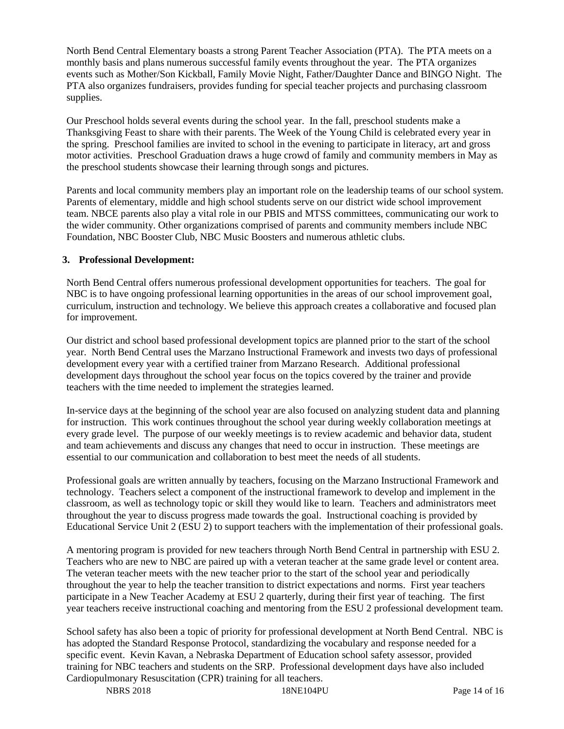North Bend Central Elementary boasts a strong Parent Teacher Association (PTA). The PTA meets on a monthly basis and plans numerous successful family events throughout the year. The PTA organizes events such as Mother/Son Kickball, Family Movie Night, Father/Daughter Dance and BINGO Night. The PTA also organizes fundraisers, provides funding for special teacher projects and purchasing classroom supplies.

Our Preschool holds several events during the school year. In the fall, preschool students make a Thanksgiving Feast to share with their parents. The Week of the Young Child is celebrated every year in the spring. Preschool families are invited to school in the evening to participate in literacy, art and gross motor activities. Preschool Graduation draws a huge crowd of family and community members in May as the preschool students showcase their learning through songs and pictures.

Parents and local community members play an important role on the leadership teams of our school system. Parents of elementary, middle and high school students serve on our district wide school improvement team. NBCE parents also play a vital role in our PBIS and MTSS committees, communicating our work to the wider community. Other organizations comprised of parents and community members include NBC Foundation, NBC Booster Club, NBC Music Boosters and numerous athletic clubs.

#### **3. Professional Development:**

North Bend Central offers numerous professional development opportunities for teachers. The goal for NBC is to have ongoing professional learning opportunities in the areas of our school improvement goal, curriculum, instruction and technology. We believe this approach creates a collaborative and focused plan for improvement.

Our district and school based professional development topics are planned prior to the start of the school year. North Bend Central uses the Marzano Instructional Framework and invests two days of professional development every year with a certified trainer from Marzano Research. Additional professional development days throughout the school year focus on the topics covered by the trainer and provide teachers with the time needed to implement the strategies learned.

In-service days at the beginning of the school year are also focused on analyzing student data and planning for instruction. This work continues throughout the school year during weekly collaboration meetings at every grade level. The purpose of our weekly meetings is to review academic and behavior data, student and team achievements and discuss any changes that need to occur in instruction. These meetings are essential to our communication and collaboration to best meet the needs of all students.

Professional goals are written annually by teachers, focusing on the Marzano Instructional Framework and technology. Teachers select a component of the instructional framework to develop and implement in the classroom, as well as technology topic or skill they would like to learn. Teachers and administrators meet throughout the year to discuss progress made towards the goal. Instructional coaching is provided by Educational Service Unit 2 (ESU 2) to support teachers with the implementation of their professional goals.

A mentoring program is provided for new teachers through North Bend Central in partnership with ESU 2. Teachers who are new to NBC are paired up with a veteran teacher at the same grade level or content area. The veteran teacher meets with the new teacher prior to the start of the school year and periodically throughout the year to help the teacher transition to district expectations and norms. First year teachers participate in a New Teacher Academy at ESU 2 quarterly, during their first year of teaching. The first year teachers receive instructional coaching and mentoring from the ESU 2 professional development team.

School safety has also been a topic of priority for professional development at North Bend Central. NBC is has adopted the Standard Response Protocol, standardizing the vocabulary and response needed for a specific event. Kevin Kavan, a Nebraska Department of Education school safety assessor, provided training for NBC teachers and students on the SRP. Professional development days have also included Cardiopulmonary Resuscitation (CPR) training for all teachers.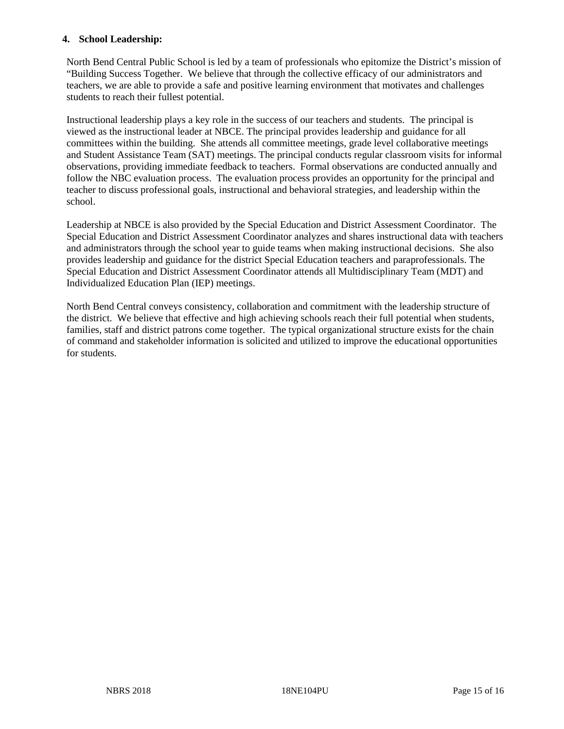#### **4. School Leadership:**

North Bend Central Public School is led by a team of professionals who epitomize the District's mission of "Building Success Together. We believe that through the collective efficacy of our administrators and teachers, we are able to provide a safe and positive learning environment that motivates and challenges students to reach their fullest potential.

Instructional leadership plays a key role in the success of our teachers and students. The principal is viewed as the instructional leader at NBCE. The principal provides leadership and guidance for all committees within the building. She attends all committee meetings, grade level collaborative meetings and Student Assistance Team (SAT) meetings. The principal conducts regular classroom visits for informal observations, providing immediate feedback to teachers. Formal observations are conducted annually and follow the NBC evaluation process. The evaluation process provides an opportunity for the principal and teacher to discuss professional goals, instructional and behavioral strategies, and leadership within the school.

Leadership at NBCE is also provided by the Special Education and District Assessment Coordinator. The Special Education and District Assessment Coordinator analyzes and shares instructional data with teachers and administrators through the school year to guide teams when making instructional decisions. She also provides leadership and guidance for the district Special Education teachers and paraprofessionals. The Special Education and District Assessment Coordinator attends all Multidisciplinary Team (MDT) and Individualized Education Plan (IEP) meetings.

North Bend Central conveys consistency, collaboration and commitment with the leadership structure of the district. We believe that effective and high achieving schools reach their full potential when students, families, staff and district patrons come together. The typical organizational structure exists for the chain of command and stakeholder information is solicited and utilized to improve the educational opportunities for students.